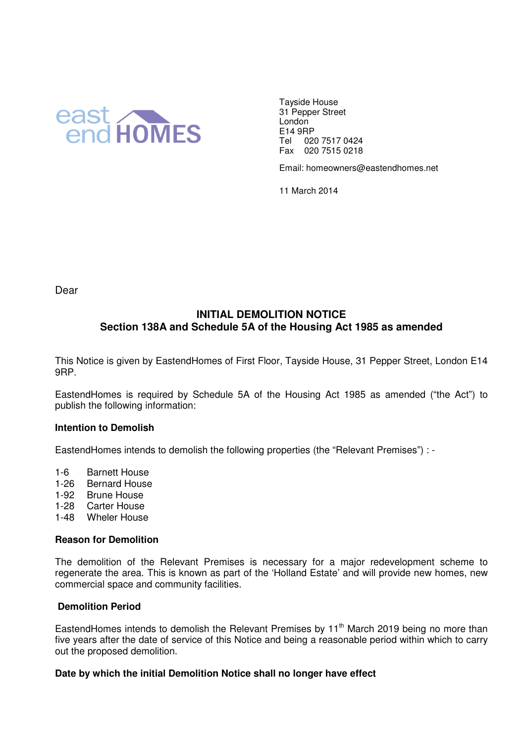

Tayside House 31 Pepper Street London E14 9RP Tel 020 7517 0424 Fax 020 7515 0218

Email: homeowners@eastendhomes.net

11 March 2014

Dear

# **INITIAL DEMOLITION NOTICE Section 138A and Schedule 5A of the Housing Act 1985 as amended**

This Notice is given by EastendHomes of First Floor, Tayside House, 31 Pepper Street, London E14 9RP.

EastendHomes is required by Schedule 5A of the Housing Act 1985 as amended ("the Act") to publish the following information:

## **Intention to Demolish**

EastendHomes intends to demolish the following properties (the "Relevant Premises") : -

- 1-6 Barnett House
- 1-26 Bernard House
- 1-92 Brune House
- 1-28 Carter House
- 1-48 Wheler House

#### **Reason for Demolition**

The demolition of the Relevant Premises is necessary for a major redevelopment scheme to regenerate the area. This is known as part of the 'Holland Estate' and will provide new homes, new commercial space and community facilities.

## **Demolition Period**

EastendHomes intends to demolish the Relevant Premises by  $11<sup>th</sup>$  March 2019 being no more than five years after the date of service of this Notice and being a reasonable period within which to carry out the proposed demolition.

## **Date by which the initial Demolition Notice shall no longer have effect**